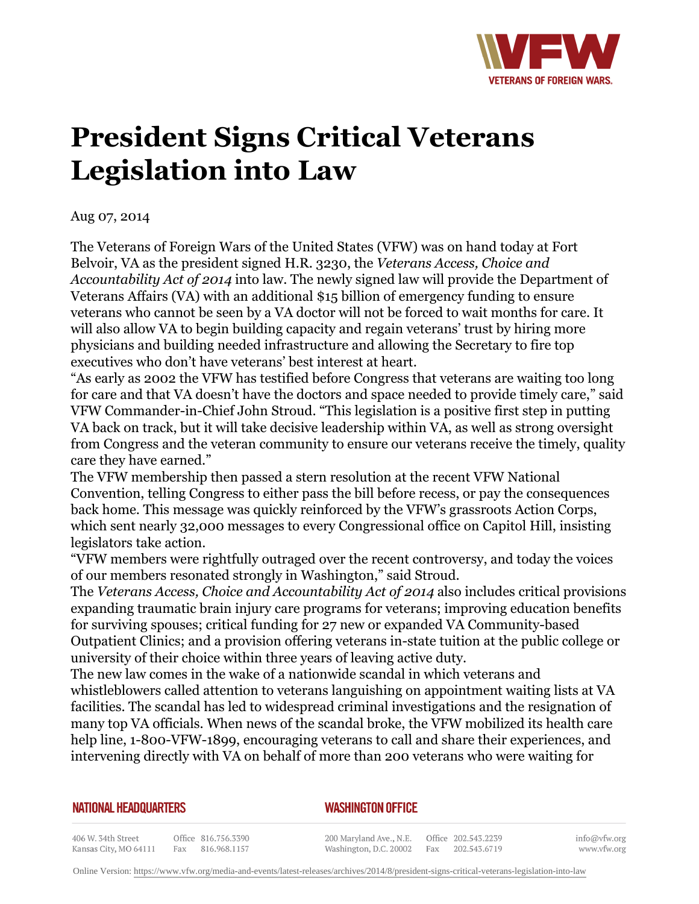

## **President Signs Critical Veterans Legislation into Law**

Aug 07, 2014

The Veterans of Foreign Wars of the United States (VFW) was on hand today at Fort Belvoir, VA as the president signed H.R. 3230, the *Veterans Access, Choice and Accountability Act of 2014* into law. The newly signed law will provide the Department of Veterans Affairs (VA) with an additional \$15 billion of emergency funding to ensure veterans who cannot be seen by a VA doctor will not be forced to wait months for care. It will also allow VA to begin building capacity and regain veterans' trust by hiring more physicians and building needed infrastructure and allowing the Secretary to fire top executives who don't have veterans' best interest at heart.

"As early as 2002 the VFW has testified before Congress that veterans are waiting too long for care and that VA doesn't have the doctors and space needed to provide timely care," said VFW Commander-in-Chief John Stroud. "This legislation is a positive first step in putting VA back on track, but it will take decisive leadership within VA, as well as strong oversight from Congress and the veteran community to ensure our veterans receive the timely, quality care they have earned."

The VFW membership then passed a stern resolution at the recent VFW National Convention, telling Congress to either pass the bill before recess, or pay the consequences back home. This message was quickly reinforced by the VFW's grassroots Action Corps, which sent nearly 32,000 messages to every Congressional office on Capitol Hill, insisting legislators take action.

"VFW members were rightfully outraged over the recent controversy, and today the voices of our members resonated strongly in Washington," said Stroud.

The *Veterans Access, Choice and Accountability Act of 2014* also includes critical provisions expanding traumatic brain injury care programs for veterans; improving education benefits for surviving spouses; critical funding for 27 new or expanded VA Community-based Outpatient Clinics; and a provision offering veterans in-state tuition at the public college or university of their choice within three years of leaving active duty.

The new law comes in the wake of a nationwide scandal in which veterans and whistleblowers called attention to veterans languishing on appointment waiting lists at VA facilities. The scandal has led to widespread criminal investigations and the resignation of many top VA officials. When news of the scandal broke, the VFW mobilized its health care help line, 1-800-VFW-1899, encouraging veterans to call and share their experiences, and intervening directly with VA on behalf of more than 200 veterans who were waiting for

## **NATIONAL HEADQUARTERS**

## *WASHINGTON OFFICE*

406 W. 34th Street Office 816.756.3390 Kansas City, MO 64111 Fax 816.968.1157

200 Maryland Ave., N.E. Washington, D.C. 20002

Office 202.543.2239 Fax 202.543.6719

info@vfw.org www.vfw.org

Online Version:<https://www.vfw.org/media-and-events/latest-releases/archives/2014/8/president-signs-critical-veterans-legislation-into-law>